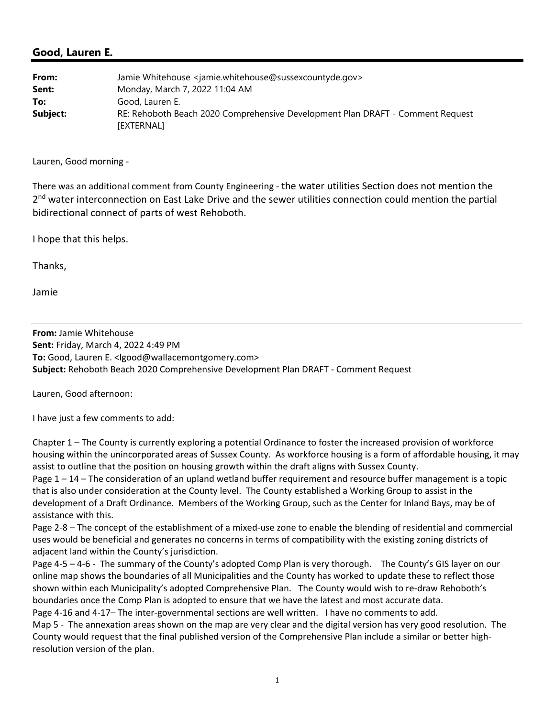## **Good, Lauren E.**

| From:    | Jamie Whitehouse <jamie.whitehouse@sussexcountyde.gov></jamie.whitehouse@sussexcountyde.gov> |
|----------|----------------------------------------------------------------------------------------------|
| Sent:    | Monday, March 7, 2022 11:04 AM                                                               |
| To:      | Good, Lauren E.                                                                              |
| Subject: | RE: Rehoboth Beach 2020 Comprehensive Development Plan DRAFT - Comment Request<br>[EXTERNAL] |

Lauren, Good morning ‐

There was an additional comment from County Engineering ‐ the water utilities Section does not mention the 2<sup>nd</sup> water interconnection on East Lake Drive and the sewer utilities connection could mention the partial bidirectional connect of parts of west Rehoboth.

I hope that this helps.

Thanks,

Jamie

**From:** Jamie Whitehouse **Sent:** Friday, March 4, 2022 4:49 PM **To:** Good, Lauren E. <lgood@wallacemontgomery.com> **Subject:** Rehoboth Beach 2020 Comprehensive Development Plan DRAFT ‐ Comment Request

Lauren, Good afternoon:

I have just a few comments to add:

Chapter 1 – The County is currently exploring a potential Ordinance to foster the increased provision of workforce housing within the unincorporated areas of Sussex County. As workforce housing is a form of affordable housing, it may assist to outline that the position on housing growth within the draft aligns with Sussex County.

Page 1 – 14 – The consideration of an upland wetland buffer requirement and resource buffer management is a topic that is also under consideration at the County level. The County established a Working Group to assist in the development of a Draft Ordinance. Members of the Working Group, such as the Center for Inland Bays, may be of assistance with this.

Page 2‐8 – The concept of the establishment of a mixed‐use zone to enable the blending of residential and commercial uses would be beneficial and generates no concerns in terms of compatibility with the existing zoning districts of adjacent land within the County's jurisdiction.

Page 4-5 – 4-6 - The summary of the County's adopted Comp Plan is very thorough. The County's GIS layer on our online map shows the boundaries of all Municipalities and the County has worked to update these to reflect those shown within each Municipality's adopted Comprehensive Plan. The County would wish to re-draw Rehoboth's boundaries once the Comp Plan is adopted to ensure that we have the latest and most accurate data.

Page 4-16 and 4-17– The inter-governmental sections are well written. I have no comments to add. Map 5 - The annexation areas shown on the map are very clear and the digital version has very good resolution. The County would request that the final published version of the Comprehensive Plan include a similar or better high‐ resolution version of the plan.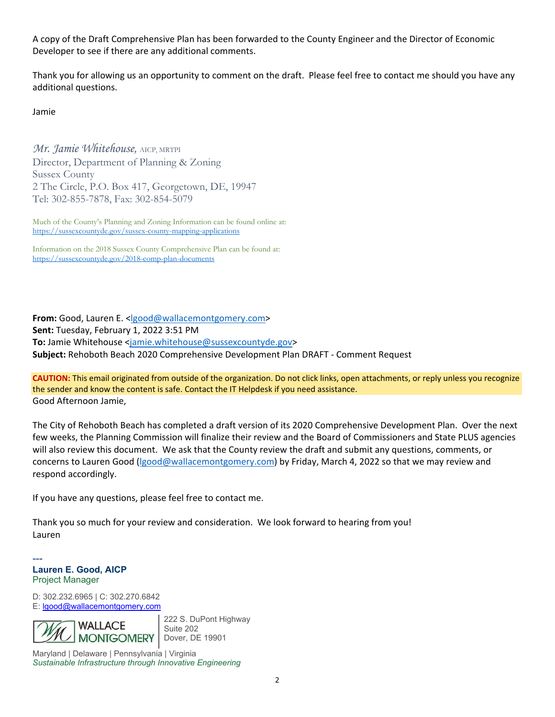A copy of the Draft Comprehensive Plan has been forwarded to the County Engineer and the Director of Economic Developer to see if there are any additional comments.

Thank you for allowing us an opportunity to comment on the draft. Please feel free to contact me should you have any additional questions.

Jamie

*Mr. Jamie Whitehouse,* AICP, MRTPI Director, Department of Planning & Zoning Sussex County 2 The Circle, P.O. Box 417, Georgetown, DE, 19947 Tel: 302-855-7878, Fax: 302-854-5079

Much of the County's Planning and Zoning Information can be found online at: https://sussexcountyde.gov/sussex-county-mapping-applications

Information on the 2018 Sussex County Comprehensive Plan can be found at: https://sussexcountyde.gov/2018-comp-plan-documents

**From:** Good, Lauren E. <lgood@wallacemontgomery.com> **Sent:** Tuesday, February 1, 2022 3:51 PM **To:** Jamie Whitehouse <jamie.whitehouse@sussexcountyde.gov> **Subject:** Rehoboth Beach 2020 Comprehensive Development Plan DRAFT ‐ Comment Request

**CAUTION:** This email originated from outside of the organization. Do not click links, open attachments, or reply unless you recognize the sender and know the content is safe. Contact the IT Helpdesk if you need assistance. Good Afternoon Jamie,

The City of Rehoboth Beach has completed a draft version of its 2020 Comprehensive Development Plan. Over the next few weeks, the Planning Commission will finalize their review and the Board of Commissioners and State PLUS agencies will also review this document. We ask that the County review the draft and submit any questions, comments, or concerns to Lauren Good (Igood@wallacemontgomery.com) by Friday, March 4, 2022 so that we may review and respond accordingly.

If you have any questions, please feel free to contact me.

Thank you so much for your review and consideration. We look forward to hearing from you! Lauren

--- **Lauren E. Good, AICP** Project Manager

D: 302.232.6965 | C: 302.270.6842 E: lgood@wallacemontgomery.com



222 S. DuPont Highway Suite 202 Dover, DE 19901

Maryland | Delaware | Pennsylvania | Virginia *Sustainable Infrastructure through Innovative Engineering*